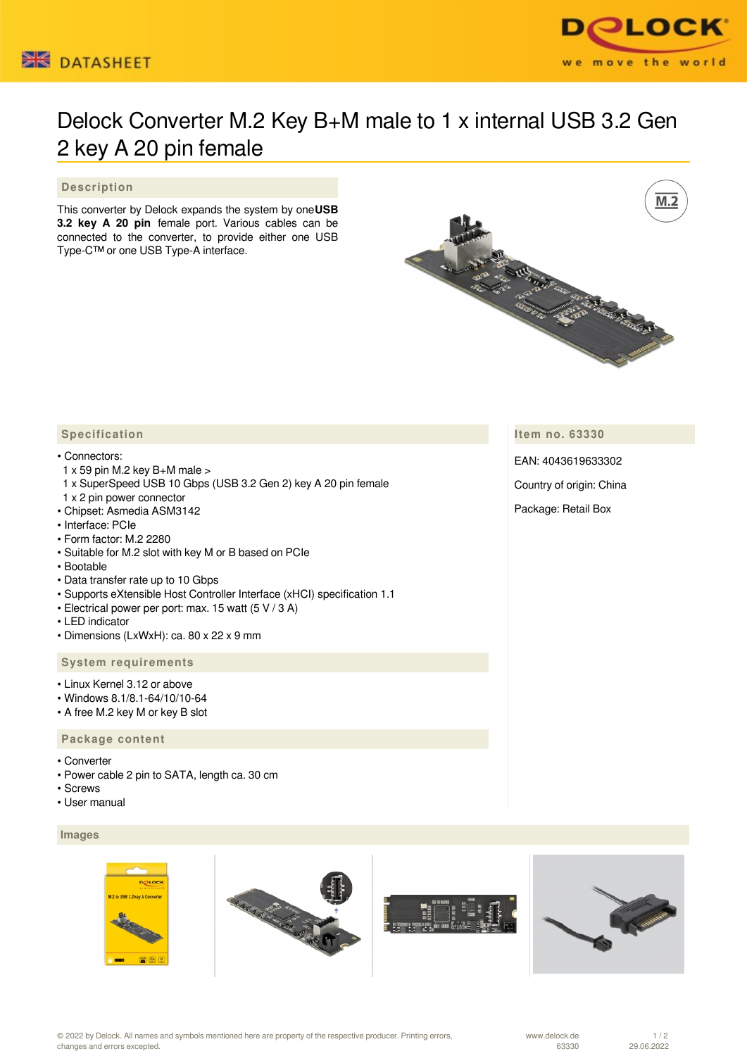



# Delock Converter M.2 Key B+M male to 1 x internal USB 3.2 Gen 2 key A 20 pin female

## **Description**

This converter by Delock expands the system by one**USB 3.2 key A 20 pin** female port. Various cables can be connected to the converter, to provide either one USB Type-C™ or one USB Type-A interface.



## **Specification**

#### • Connectors:

- $1 \times 59$  pin M.2 key B+M male  $>$
- 1 x SuperSpeed USB 10 Gbps (USB 3.2 Gen 2) key A 20 pin female
- 1 x 2 pin power connector
- Chipset: Asmedia ASM3142
- Interface: PCIe
- Form factor: M.2 2280
- Suitable for M.2 slot with key M or B based on PCIe
- Bootable
- Data transfer rate up to 10 Gbps
- Supports eXtensible Host Controller Interface (xHCI) specification 1.1
- Electrical power per port: max. 15 watt (5 V / 3 A)
- LED indicator
- Dimensions (LxWxH): ca. 80 x 22 x 9 mm

## **System requirements**

- Linux Kernel 3.12 or above
- Windows 8.1/8.1-64/10/10-64
- A free M.2 key M or key B slot

#### **Package content**

- Converter
- Power cable 2 pin to SATA, length ca. 30 cm
- Screws
- User manual

## **Images**



© 2022 by Delock. All names and symbols mentioned here are property of the respective producer. Printing errors, changes and errors excepted.

**Item no. 63330**

EAN: 4043619633302

Country of origin: China

Package: Retail Box